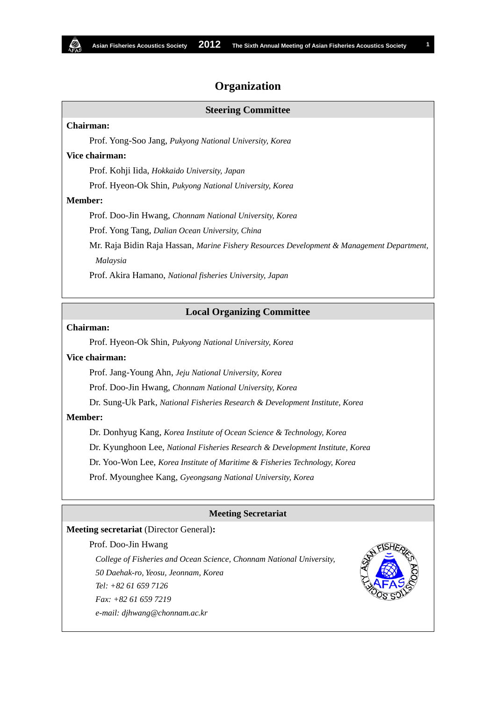## **Organization**

# **Steering Committee Chairman:** Prof. Yong-Soo Jang, *Pukyong National University, Korea* **Vice chairman:** Prof. Kohji Iida, *Hokkaido University, Japan* Prof. Hyeon-Ok Shin, *Pukyong National University, Korea* **Member:** Prof. Doo-Jin Hwang, *Chonnam National University, Korea* Prof. Yong Tang, *Dalian Ocean University, China* Mr. Raja Bidin Raja Hassan, *Marine Fishery Resources Development & Management Department,*

*Malaysia*

Prof. Akira Hamano, *National fisheries University, Japan*

#### **Local Organizing Committee**

### **Chairman:**

Prof. Hyeon-Ok Shin, *Pukyong National University, Korea*

#### **Vice chairman:**

Prof. Jang-Young Ahn, *Jeju National University, Korea*

Prof. Doo-Jin Hwang, *Chonnam National University, Korea*

Dr. Sung-Uk Park, *National Fisheries Research & Development Institute, Korea*

### **Member:**

 Dr. Donhyug Kang, *Korea Institute of Ocean Science & Technology, Korea* Dr. Kyunghoon Lee, *National Fisheries Research & Development Institute, Korea* Dr. Yoo-Won Lee, *Korea Institute of Maritime & Fisheries Technology, Korea* Prof. Myounghee Kang, *Gyeongsang National University, Korea*

#### **Meeting Secretariat**

### **Meeting secretariat** (Director General)**:**

#### Prof. Doo-Jin Hwang

*College of Fisheries and Ocean Science, Chonnam National University, 50 Daehak-ro, Yeosu, Jeonnam, Korea Tel: +82 61 659 7126 Fax: +82 61 659 7219 e-mail: djhwang@chonnam.ac.kr*

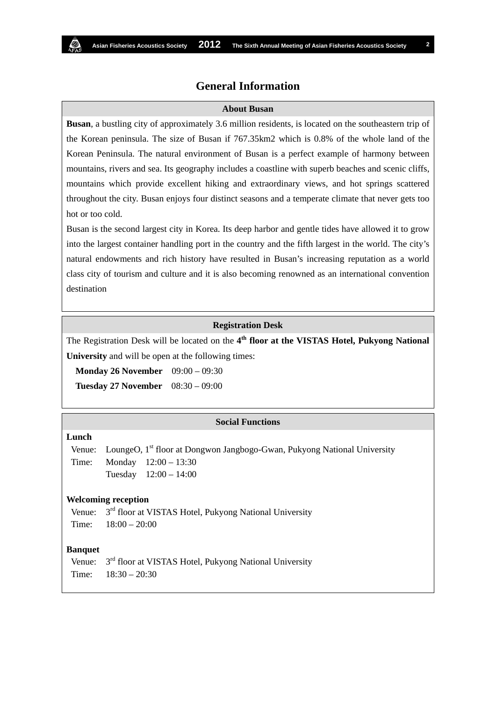## **General Information**

#### **About Busan**

**Busan**, a bustling city of approximately 3.6 million residents, is located on the southeastern trip of the Korean peninsula. The size of Busan if 767.35km2 which is 0.8% of the whole land of the Korean Peninsula. The natural environment of Busan is a perfect example of harmony between mountains, rivers and sea. Its geography includes a coastline with superb beaches and scenic cliffs, mountains which provide excellent hiking and extraordinary views, and hot springs scattered throughout the city. Busan enjoys four distinct seasons and a temperate climate that never gets too hot or too cold.

Busan is the second largest city in Korea. Its deep harbor and gentle tides have allowed it to grow into the largest container handling port in the country and the fifth largest in the world. The city's natural endowments and rich history have resulted in Busan's increasing reputation as a world class city of tourism and culture and it is also becoming renowned as an international convention destination

#### **Registration Desk**

The Registration Desk will be located on the **4th floor at the VISTAS Hotel, Pukyong National University** and will be open at the following times:

**Monday 26 November** 09:00 – 09:30 **Tuesday 27 November** 08:30 – 09:00

#### **Social Functions**

### **Lunch**

Venue: Time: LoungeO, 1<sup>st</sup> floor at Dongwon Jangbogo-Gwan, Pukyong National University Monday 12:00 – 13:30 Tuesday 12:00 – 14:00

#### **Welcoming reception**

Venue: Time: 3<sup>rd</sup> floor at VISTAS Hotel, Pukyong National University  $18:00 - 20:00$ 

#### **Banquet**

Venue: Time:  $3<sup>rd</sup>$  floor at VISTAS Hotel, Pukyong National University 18:30 – 20:30

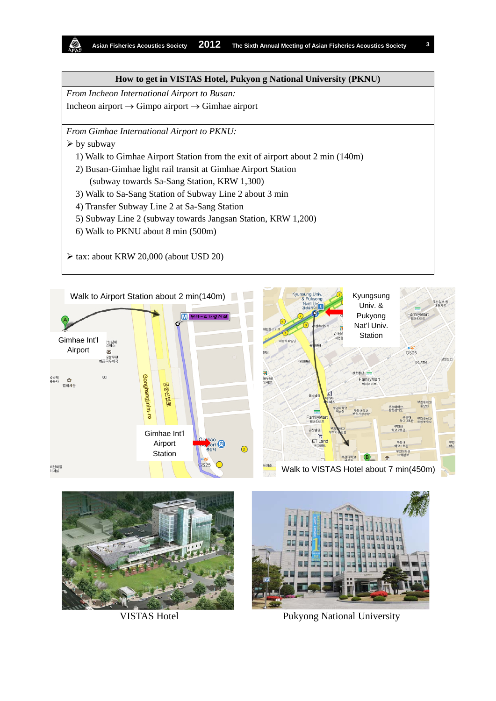## **How to get in VISTAS Hotel, Pukyon g National University (PKNU)**

*From Incheon International Airport to Busan:* Incheon airport → Gimpo airport → Gimhae airport

*From Gimhae International Airport to PKNU:*

- $\triangleright$  by subway
	- 1) Walk to Gimhae Airport Station from the exit of airport about 2 min (140m)
	- 2) Busan-Gimhae light rail transit at Gimhae Airport Station
		- (subway towards Sa-Sang Station, KRW 1,300)
	- 3) Walk to Sa-Sang Station of Subway Line 2 about 3 min
	- 4) Transfer Subway Line 2 at Sa-Sang Station
	- 5) Subway Line 2 (subway towards Jangsan Station, KRW 1,200)
	- 6) Walk to PKNU about 8 min (500m)
- $\triangleright$  tax: about KRW 20,000 (about USD 20)







VISTAS Hotel Pukyong National University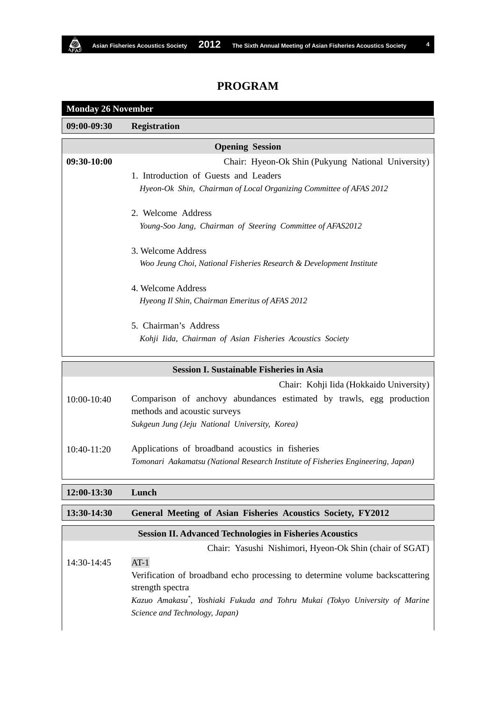## **PROGRAM**

**Monday 26 November**

Ó.

| 09:00-09:30   | <b>Registration</b>                                                                                  |
|---------------|------------------------------------------------------------------------------------------------------|
|               | <b>Opening Session</b>                                                                               |
| 09:30-10:00   | Chair: Hyeon-Ok Shin (Pukyung National University)                                                   |
|               | 1. Introduction of Guests and Leaders                                                                |
|               | Hyeon-Ok Shin, Chairman of Local Organizing Committee of AFAS 2012                                   |
|               | 2. Welcome Address                                                                                   |
|               | Young-Soo Jang, Chairman of Steering Committee of AFAS2012                                           |
|               | 3. Welcome Address                                                                                   |
|               | Woo Jeung Choi, National Fisheries Research & Development Institute                                  |
|               | 4. Welcome Address                                                                                   |
|               | Hyeong Il Shin, Chairman Emeritus of AFAS 2012                                                       |
|               | 5. Chairman's Address                                                                                |
|               | Kohji Iida, Chairman of Asian Fisheries Acoustics Society                                            |
|               | <b>Session I. Sustainable Fisheries in Asia</b>                                                      |
|               | Chair: Kohji Iida (Hokkaido University)                                                              |
| 10:00-10:40   | Comparison of anchovy abundances estimated by trawls, egg production<br>methods and acoustic surveys |
|               | Sukgeun Jung (Jeju National University, Korea)                                                       |
| $10:40-11:20$ | Applications of broadband acoustics in fisheries                                                     |
|               | Tomonari Aakamatsu (National Research Institute of Fisheries Engineering, Japan)                     |
|               |                                                                                                      |
| 12:00-13:30   | Lunch                                                                                                |
| 13:30-14:30   | General Meeting of Asian Fisheries Acoustics Society, FY2012                                         |
|               | <b>Session II. Advanced Technologies in Fisheries Acoustics</b>                                      |
|               | Chair: Yasushi Nishimori, Hyeon-Ok Shin (chair of SGAT)                                              |
| 14:30-14:45   | $AT-1$                                                                                               |
|               | Verification of broadband echo processing to determine volume backscattering                         |
|               | strength spectra<br>Kazuo Amakasu*, Yoshiaki Fukuda and Tohru Mukai (Tokyo University of Marine      |
|               | Science and Technology, Japan)                                                                       |
|               |                                                                                                      |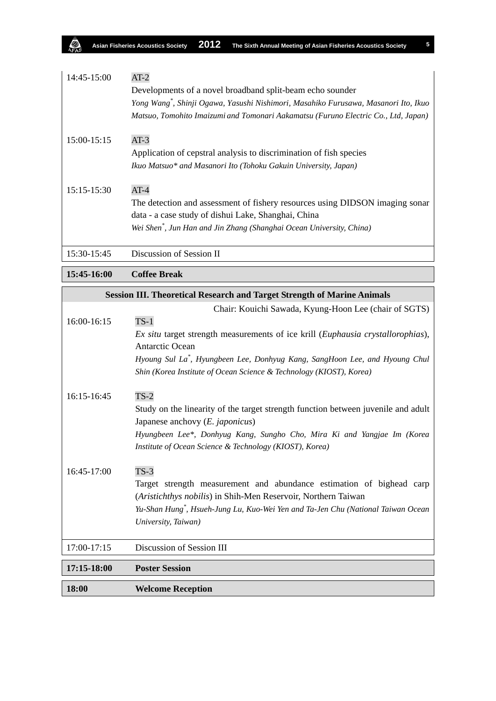| 14:45-15:00   | $AT-2$<br>Developments of a novel broadband split-beam echo sounder<br>Yong Wang <sup>*</sup> , Shinji Ogawa, Yasushi Nishimori, Masahiko Furusawa, Masanori Ito, Ikuo<br>Matsuo, Tomohito Imaizumi and Tomonari Aakamatsu (Furuno Electric Co., Ltd, Japan) |
|---------------|--------------------------------------------------------------------------------------------------------------------------------------------------------------------------------------------------------------------------------------------------------------|
| 15:00-15:15   | $AT-3$<br>Application of cepstral analysis to discrimination of fish species<br>Ikuo Matsuo* and Masanori Ito (Tohoku Gakuin University, Japan)                                                                                                              |
| $15:15-15:30$ | $AT-4$<br>The detection and assessment of fishery resources using DIDSON imaging sonar<br>data - a case study of dishui Lake, Shanghai, China<br>Wei Shen <sup>*</sup> , Jun Han and Jin Zhang (Shanghai Ocean University, China)                            |
| 15:30-15:45   | Discussion of Session II                                                                                                                                                                                                                                     |

## **15:45-16:00 Coffee Break**

இ

| <b>Session III. Theoretical Research and Target Strength of Marine Animals</b> |                                                                                              |
|--------------------------------------------------------------------------------|----------------------------------------------------------------------------------------------|
|                                                                                | Chair: Kouichi Sawada, Kyung-Hoon Lee (chair of SGTS)                                        |
| 16:00-16:15                                                                    | $TS-1$                                                                                       |
|                                                                                | Ex situ target strength measurements of ice krill (Euphausia crystallorophias),              |
|                                                                                | <b>Antarctic Ocean</b>                                                                       |
|                                                                                | Hyoung Sul La*, Hyungbeen Lee, Donhyug Kang, SangHoon Lee, and Hyoung Chul                   |
|                                                                                | Shin (Korea Institute of Ocean Science & Technology (KIOST), Korea)                          |
| 16:15-16:45                                                                    | $TS-2$                                                                                       |
|                                                                                | Study on the linearity of the target strength function between juvenile and adult            |
|                                                                                | Japanese anchovy $(E.$ <i>japonicus</i> $)$                                                  |
|                                                                                | Hyungbeen Lee*, Donhyug Kang, Sungho Cho, Mira Ki and Yangjae Im (Korea                      |
|                                                                                | Institute of Ocean Science & Technology (KIOST), Korea)                                      |
| 16:45-17:00                                                                    | $TS-3$                                                                                       |
|                                                                                | Target strength measurement and abundance estimation of bighead carp                         |
|                                                                                | (Aristichthys nobilis) in Shih-Men Reservoir, Northern Taiwan                                |
|                                                                                | Yu-Shan Hung <sup>*</sup> , Hsueh-Jung Lu, Kuo-Wei Yen and Ta-Jen Chu (National Taiwan Ocean |
|                                                                                | University, Taiwan)                                                                          |
|                                                                                |                                                                                              |
| 17:00-17:15                                                                    | Discussion of Session III                                                                    |
| 17:15-18:00                                                                    | <b>Poster Session</b>                                                                        |
| 18:00                                                                          | <b>Welcome Reception</b>                                                                     |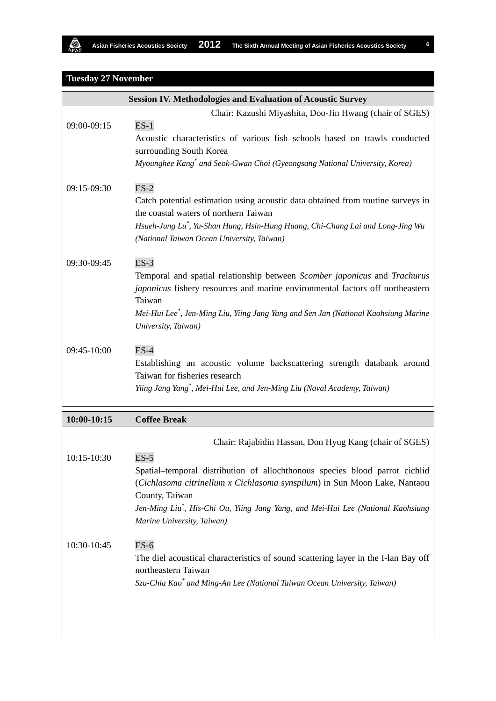# **Tuesday 27 November**

A.

|                 | <b>Session IV. Methodologies and Evaluation of Acoustic Survey</b>                                                                                                                                                                                                                                       |
|-----------------|----------------------------------------------------------------------------------------------------------------------------------------------------------------------------------------------------------------------------------------------------------------------------------------------------------|
|                 | Chair: Kazushi Miyashita, Doo-Jin Hwang (chair of SGES)                                                                                                                                                                                                                                                  |
| 09:00-09:15     | $ES-1$<br>Acoustic characteristics of various fish schools based on trawls conducted<br>surrounding South Korea<br>Myounghee Kang <sup>*</sup> and Seok-Gwan Choi (Gyeongsang National University, Korea)                                                                                                |
| 09:15-09:30     | $ES-2$<br>Catch potential estimation using acoustic data obtained from routine surveys in<br>the coastal waters of northern Taiwan<br>Hsueh-Jung Lu*, Yu-Shan Hung, Hsin-Hung Huang, Chi-Chang Lai and Long-Jing Wu<br>(National Taiwan Ocean University, Taiwan)                                        |
| 09:30-09:45     | $ES-3$<br>Temporal and spatial relationship between Scomber japonicus and Trachurus<br>japonicus fishery resources and marine environmental factors off northeastern<br>Taiwan<br>Mei-Hui Lee <sup>*</sup> , Jen-Ming Liu, Yiing Jang Yang and Sen Jan (National Kaohsiung Marine<br>University, Taiwan) |
| 09:45-10:00     | $ES-4$<br>Establishing an acoustic volume backscattering strength databank around<br>Taiwan for fisheries research<br>Yiing Jang Yang <sup>*</sup> , Mei-Hui Lee, and Jen-Ming Liu (Naval Academy, Taiwan)                                                                                               |
| $10:00 - 10:15$ | <b>Coffee Break</b>                                                                                                                                                                                                                                                                                      |
| 10:15-10:30     | Chair: Rajabidin Hassan, Don Hyug Kang (chair of SGES)<br>$ES-5$                                                                                                                                                                                                                                         |
|                 | Spatial-temporal distribution of allochthonous species blood parrot cichlid<br>(Cichlasoma citrinellum x Cichlasoma synspilum) in Sun Moon Lake, Nantaou<br>County, Taiwan<br>Jen-Ming Liu <sup>*</sup> , His-Chi Ou, Yiing Jang Yang, and Mei-Hui Lee (National Kaohsiung<br>Marine University, Taiwan) |
| 10:30-10:45     | $ES-6$<br>The diel acoustical characteristics of sound scattering layer in the I-lan Bay off<br>northeastern Taiwan<br>Szu-Chia Kao* and Ming-An Lee (National Taiwan Ocean University, Taiwan)                                                                                                          |

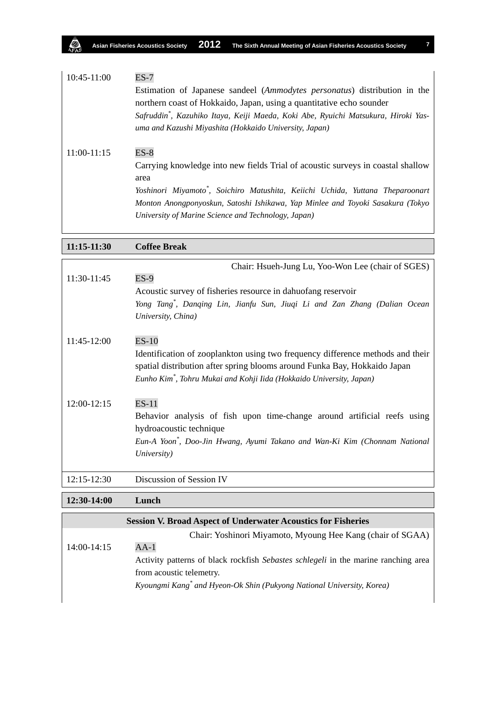| 10:45-11:00   | $ES-7$<br>Estimation of Japanese sandeel (Ammodytes personatus) distribution in the<br>northern coast of Hokkaido, Japan, using a quantitative echo sounder<br>Safruddin*, Kazuhiko Itaya, Keiji Maeda, Koki Abe, Ryuichi Matsukura, Hiroki Yas-<br>uma and Kazushi Miyashita (Hokkaido University, Japan)                  |
|---------------|-----------------------------------------------------------------------------------------------------------------------------------------------------------------------------------------------------------------------------------------------------------------------------------------------------------------------------|
| $11:00-11:15$ | $ES-8$<br>Carrying knowledge into new fields Trial of acoustic surveys in coastal shallow<br>area<br>Yoshinori Miyamoto*, Soichiro Matushita, Keiichi Uchida, Yuttana Theparoonart<br>Monton Anongponyoskun, Satoshi Ishikawa, Yap Minlee and Toyoki Sasakura (Tokyo<br>University of Marine Science and Technology, Japan) |

**11:15-11:30 Coffee Break**

|                 | Chair: Hsueh-Jung Lu, Yoo-Won Lee (chair of SGES)                                      |
|-----------------|----------------------------------------------------------------------------------------|
| 11:30-11:45     | $ES-9$                                                                                 |
|                 | Acoustic survey of fisheries resource in dahuofang reservoir                           |
|                 | Yong Tang <sup>*</sup> , Danqing Lin, Jianfu Sun, Jiuqi Li and Zan Zhang (Dalian Ocean |
|                 | University, China)                                                                     |
| $11:45-12:00$   | $ES-10$                                                                                |
|                 | Identification of zooplankton using two frequency difference methods and their         |
|                 | spatial distribution after spring blooms around Funka Bay, Hokkaido Japan              |
|                 | Eunho Kim <sup>*</sup> , Tohru Mukai and Kohji Iida (Hokkaido University, Japan)       |
| 12:00-12:15     | $ES-11$                                                                                |
|                 | Behavior analysis of fish upon time-change around artificial reefs using               |
|                 | hydroacoustic technique                                                                |
|                 | Eun-A Yoon*, Doo-Jin Hwang, Ayumi Takano and Wan-Ki Kim (Chonnam National              |
|                 | University)                                                                            |
|                 |                                                                                        |
| $12:15 - 12:30$ | Discussion of Session IV                                                               |

**12:30-14:00 Lunch Session V. Broad Aspect of Underwater Acoustics for Fisheries** Chair: Yoshinori Miyamoto, Myoung Hee Kang (chair of SGAA) 14:00-14:15 AA-1 Activity patterns of black rockfish *Sebastes schlegeli* in the marine ranching area from acoustic telemetry.

*Kyoungmi Kang\* and Hyeon-Ok Shin (Pukyong National University, Korea)*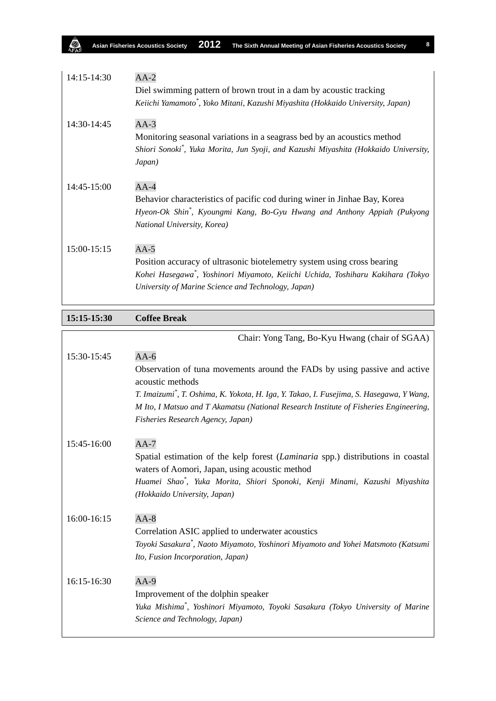| 14:15-14:30 | $AA-2$<br>Diel swimming pattern of brown trout in a dam by acoustic tracking<br>Keiichi Yamamoto*, Yoko Mitani, Kazushi Miyashita (Hokkaido University, Japan)                                                             |
|-------------|----------------------------------------------------------------------------------------------------------------------------------------------------------------------------------------------------------------------------|
| 14:30-14:45 | $AA-3$<br>Monitoring seasonal variations in a seagrass bed by an acoustics method<br>Shiori Sonoki*, Yuka Morita, Jun Syoji, and Kazushi Miyashita (Hokkaido University,<br>Japan)                                         |
| 14:45-15:00 | $AA-4$<br>Behavior characteristics of pacific cod during winer in Jinhae Bay, Korea<br>Hyeon-Ok Shin*, Kyoungmi Kang, Bo-Gyu Hwang and Anthony Appiah (Pukyong<br>National University, Korea)                              |
| 15:00-15:15 | $AA-5$<br>Position accuracy of ultrasonic biotelemetry system using cross bearing<br>Kohei Hasegawa*, Yoshinori Miyamoto, Keiichi Uchida, Toshiharu Kakihara (Tokyo<br>University of Marine Science and Technology, Japan) |

**15:15-15:30 Coffee Break**

ą

|             | Chair: Yong Tang, Bo-Kyu Hwang (chair of SGAA)                                                                                    |
|-------------|-----------------------------------------------------------------------------------------------------------------------------------|
| 15:30-15:45 | $AA-6$                                                                                                                            |
|             | Observation of tuna movements around the FADs by using passive and active<br>acoustic methods                                     |
|             | T. Imaizumi*, T. Oshima, K. Yokota, H. Iga, Y. Takao, I. Fusejima, S. Hasegawa, Y Wang,                                           |
|             | M Ito, I Matsuo and T Akamatsu (National Research Institute of Fisheries Engineering,<br>Fisheries Research Agency, Japan)        |
|             |                                                                                                                                   |
| 15:45-16:00 | $AA-7$                                                                                                                            |
|             | Spatial estimation of the kelp forest (Laminaria spp.) distributions in coastal<br>waters of Aomori, Japan, using acoustic method |
|             | Huamei Shao*, Yuka Morita, Shiori Sponoki, Kenji Minami, Kazushi Miyashita                                                        |
|             | (Hokkaido University, Japan)                                                                                                      |
| 16:00-16:15 | $AA-8$                                                                                                                            |
|             | Correlation ASIC applied to underwater acoustics                                                                                  |
|             | Toyoki Sasakura <sup>*</sup> , Naoto Miyamoto, Yoshinori Miyamoto and Yohei Matsmoto (Katsumi                                     |
|             | Ito, Fusion Incorporation, Japan)                                                                                                 |
| 16:15-16:30 | $AA-9$                                                                                                                            |
|             | Improvement of the dolphin speaker                                                                                                |
|             | Yuka Mishima*, Yoshinori Miyamoto, Toyoki Sasakura (Tokyo University of Marine                                                    |
|             | Science and Technology, Japan)                                                                                                    |